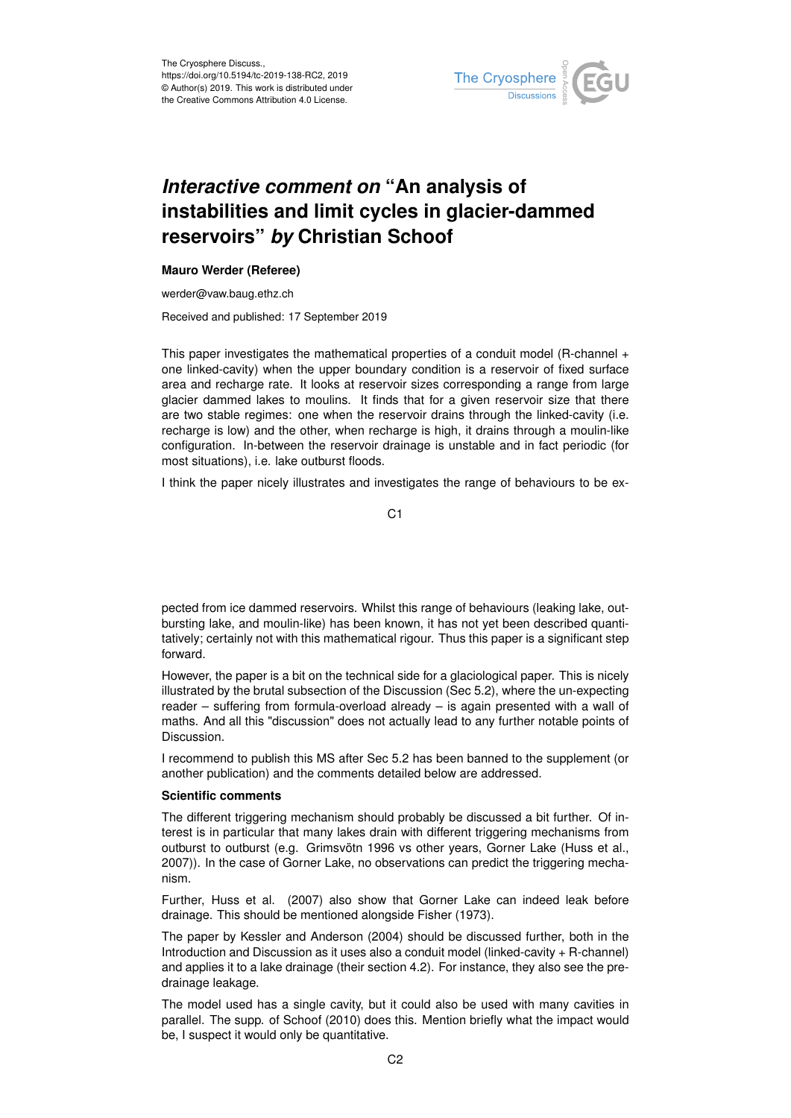

# *Interactive comment on* **"An analysis of instabilities and limit cycles in glacier-dammed reservoirs"** *by* **Christian Schoof**

## **Mauro Werder (Referee)**

werder@vaw.baug.ethz.ch

Received and published: 17 September 2019

This paper investigates the mathematical properties of a conduit model (R-channel + one linked-cavity) when the upper boundary condition is a reservoir of fixed surface area and recharge rate. It looks at reservoir sizes corresponding a range from large glacier dammed lakes to moulins. It finds that for a given reservoir size that there are two stable regimes: one when the reservoir drains through the linked-cavity (i.e. recharge is low) and the other, when recharge is high, it drains through a moulin-like configuration. In-between the reservoir drainage is unstable and in fact periodic (for most situations), i.e. lake outburst floods.

I think the paper nicely illustrates and investigates the range of behaviours to be ex-

C1

pected from ice dammed reservoirs. Whilst this range of behaviours (leaking lake, outbursting lake, and moulin-like) has been known, it has not yet been described quantitatively; certainly not with this mathematical rigour. Thus this paper is a significant step forward.

However, the paper is a bit on the technical side for a glaciological paper. This is nicely illustrated by the brutal subsection of the Discussion (Sec 5.2), where the un-expecting reader – suffering from formula-overload already – is again presented with a wall of maths. And all this "discussion" does not actually lead to any further notable points of Discussion.

I recommend to publish this MS after Sec 5.2 has been banned to the supplement (or another publication) and the comments detailed below are addressed.

### **Scientific comments**

The different triggering mechanism should probably be discussed a bit further. Of interest is in particular that many lakes drain with different triggering mechanisms from outburst to outburst (e.g. Grimsvötn 1996 vs other years, Gorner Lake (Huss et al., 2007)). In the case of Gorner Lake, no observations can predict the triggering mechanism.

Further, Huss et al. (2007) also show that Gorner Lake can indeed leak before drainage. This should be mentioned alongside Fisher (1973).

The paper by Kessler and Anderson (2004) should be discussed further, both in the Introduction and Discussion as it uses also a conduit model (linked-cavity + R-channel) and applies it to a lake drainage (their section 4.2). For instance, they also see the predrainage leakage.

The model used has a single cavity, but it could also be used with many cavities in parallel. The supp. of Schoof (2010) does this. Mention briefly what the impact would be, I suspect it would only be quantitative.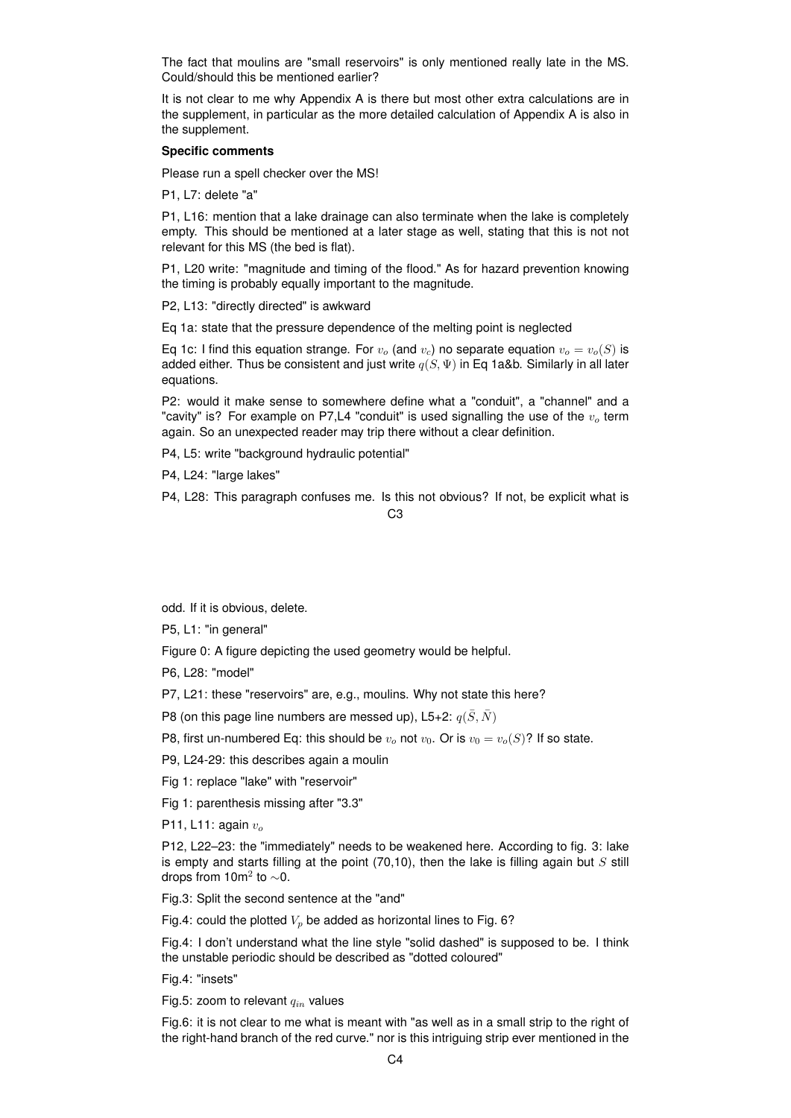The fact that moulins are "small reservoirs" is only mentioned really late in the MS. Could/should this be mentioned earlier?

It is not clear to me why Appendix A is there but most other extra calculations are in the supplement, in particular as the more detailed calculation of Appendix A is also in the supplement.

### **Specific comments**

Please run a spell checker over the MS!

P1, L7: delete "a"

P1, L16: mention that a lake drainage can also terminate when the lake is completely empty. This should be mentioned at a later stage as well, stating that this is not not relevant for this MS (the bed is flat).

P1, L20 write: "magnitude and timing of the flood." As for hazard prevention knowing the timing is probably equally important to the magnitude.

P2, L13: "directly directed" is awkward

Eq 1a: state that the pressure dependence of the melting point is neglected

Eq 1c: I find this equation strange. For  $v<sub>o</sub>$  (and  $v<sub>c</sub>$ ) no separate equation  $v<sub>o</sub> = v<sub>o</sub>(S)$  is added either. Thus be consistent and just write  $q(S, \Psi)$  in Eq 1a&b. Similarly in all later equations.

P2: would it make sense to somewhere define what a "conduit", a "channel" and a "cavity" is? For example on P7,L4 "conduit" is used signalling the use of the  $v<sub>o</sub>$  term again. So an unexpected reader may trip there without a clear definition.

P4, L5: write "background hydraulic potential"

P4, L24: "large lakes"

P4, L28: This paragraph confuses me. Is this not obvious? If not, be explicit what is

#### C3

odd. If it is obvious, delete.

P5, L1: "in general"

Figure 0: A figure depicting the used geometry would be helpful.

P6, L28: "model"

P7, L21: these "reservoirs" are, e.g., moulins. Why not state this here?

P8 (on this page line numbers are messed up), L5+2:  $q(\bar{S}, \bar{N})$ 

P8, first un-numbered Eq: this should be  $v_0$  not  $v_0$ . Or is  $v_0 = v_0(S)$ ? If so state.

P9, L24-29: this describes again a moulin

Fig 1: replace "lake" with "reservoir"

Fig 1: parenthesis missing after "3.3"

P11, L11: again  $v_o$ 

P12, L22–23: the "immediately" needs to be weakened here. According to fig. 3: lake is empty and starts filling at the point  $(70,10)$ , then the lake is filling again but S still drops from 10m<sup>2</sup> to  $\sim$ 0.

Fig.3: Split the second sentence at the "and"

Fig.4: could the plotted  $V_p$  be added as horizontal lines to Fig. 6?

Fig.4: I don't understand what the line style "solid dashed" is supposed to be. I think the unstable periodic should be described as "dotted coloured"

Fig.4: "insets"

Fig.5: zoom to relevant  $q_{in}$  values

Fig.6: it is not clear to me what is meant with "as well as in a small strip to the right of the right-hand branch of the red curve." nor is this intriguing strip ever mentioned in the